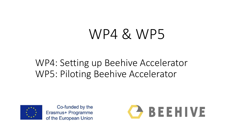# WP4 & WP5

### WP4: Setting up Beehive Accelerator WP5: Piloting Beehive Accelerator



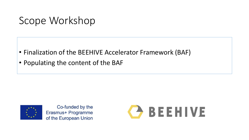### Scope Workshop

- Finalization of the BEEHIVE Accelerator Framework (BAF)
- Populating the content of the BAF



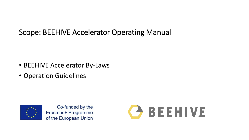#### Scope: BEEHIVE Accelerator Operating Manual

- BEEHIVE Accelerator By-Laws
- Operation Guidelines



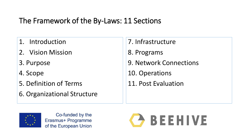### The Framework of the By-Laws: 11 Sections

- 1. Introduction
- 2. Vision Mission
- 3. Purpose
- 4. Scope
- 5. Definition of Terms
- 6. Organizational Structure
- 7. Infrastructure
- 8. Programs
- 9. Network Connections
- 10. Operations
- 11. Post Evaluation



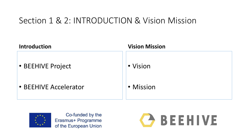### Section 1 & 2: INTRODUCTION & Vision Mission





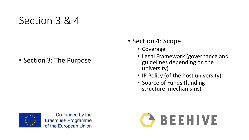### Section 3 & 4

#### • Section 3: The Purpose

#### • Section 4: Scope

- Coverage
- Legal Framework (governance and guidelines depending on the university)
- IP Policy (of the host university)
- Source of Funds (funding structure, mechanisms)



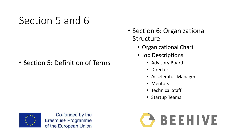### Section 5 and 6

#### • Section 5: Definition of Terms

#### • Section 6: Organizational Structure

- Organizational Chart
- Job Descriptions
	- Advisory Board
	- Director
	- Accelerator Manager
	- Mentors
	- Technical Staff
	- Startup Teams



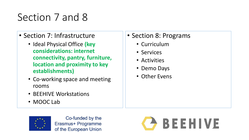## Section 7 and 8

- Section 7: Infrastructure
	- Ideal Physical Office **(key considerations: internet connectivity, pantry, furniture, location and proximity to key establishments)**
	- Co-working space and meeting rooms
	- BEEHIVE Workstations
	- MOOC Lab

#### • Section 8: Programs

- Curriculum
- Services
- Activities
- Demo Days
- Other Evens



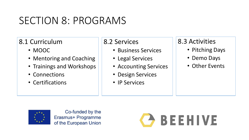### SECTION 8: PROGRAMS

#### 8.1 Curriculum

- MOOC
- Mentoring and Coaching
- Trainings and Workshops
- Connections
- Certifications

#### 8.2 Services

- Business Services
- Legal Services
- Accounting Services
- Design Services
- IP Services

#### 8.3 Activities

- Pitching Days
- Demo Days
- Other Events



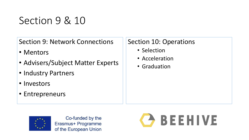## Section 9 & 10

Section 9: Network Connections

- Mentors
- Advisers/Subject Matter Experts
- Industry Partners
- Investors
- Entrepreneurs

#### Section 10: Operations

- Selection
- Acceleration
- Graduation



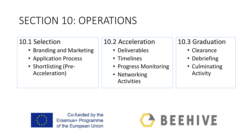### SECTION 10: OPERATIONS

#### 10.1 Selection

- Branding and Marketing
- Application Process
- Shortlisting (Pre-Acceleration)

#### 10.2 Acceleration

- Deliverables
- Timelines
- Progress Monitoring
- Networking Activities

#### 10.3 Graduation

- Clearance
- Debriefing
- Culminating Activity



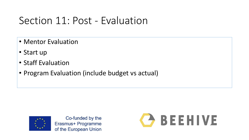### Section 11: Post - Evaluation

- Mentor Evaluation
- Start up
- Staff Evaluation
- Program Evaluation (include budget vs actual)



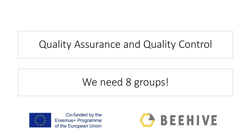## Quality Assurance and Quality Control

### We need 8 groups!



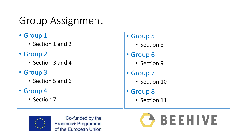## Group Assignment

#### • Group 1

- Section 1 and 2
- Group 2
	- Section 3 and 4
- Group 3
	- Section 5 and 6
- Group 4
	- Section 7

#### • Group 5

- Section 8
- Group 6
	- Section 9
- Group 7
	- Section 10
- Group 8
	- Section 11